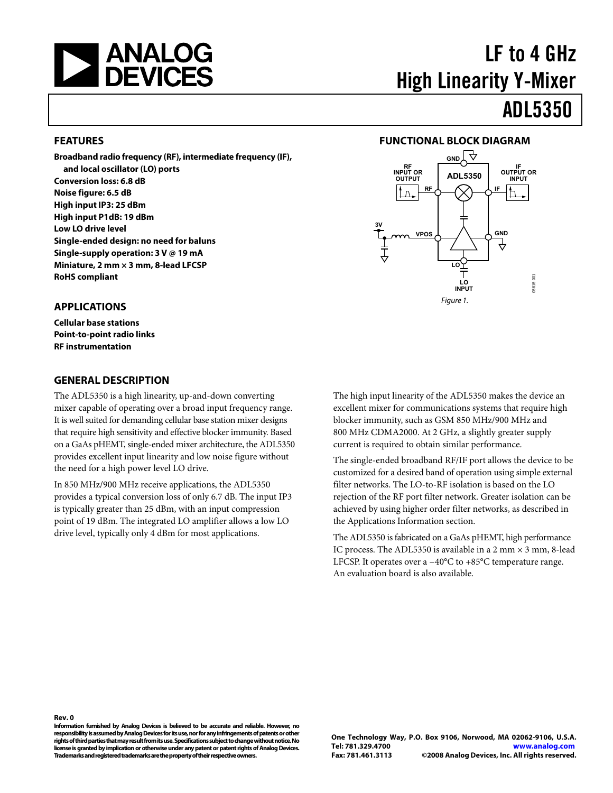<span id="page-0-0"></span>

# LF to 4 GHz High Linearity Y-Mixer ADL5350

#### **FEATURES**

**Broadband radio frequency (RF), intermediate frequency (IF), and local oscillator (LO) ports Conversion loss: 6.8 dB Noise figure: 6.5 dB High input IP3: 25 dBm High input P1dB: 19 dBm Low LO drive level Single-ended design: no need for baluns Single-supply operation: 3 V @ 19 mA Miniature, 2 mm × 3 mm, 8-lead LFCSP RoHS compliant** 

#### **APPLICATIONS**

**Cellular base stations Point-to-point radio links RF instrumentation** 

#### **GENERAL DESCRIPTION**

The ADL5350 is a high linearity, up-and-down converting mixer capable of operating over a broad input frequency range. It is well suited for demanding cellular base station mixer designs that require high sensitivity and effective blocker immunity. Based on a GaAs pHEMT, single-ended mixer architecture, the ADL5350 provides excellent input linearity and low noise figure without the need for a high power level LO drive.

In 850 MHz/900 MHz receive applications, the ADL5350 provides a typical conversion loss of only 6.7 dB. The input IP3 is typically greater than 25 dBm, with an input compression point of 19 dBm. The integrated LO amplifier allows a low LO drive level, typically only 4 dBm for most applications.

#### **FUNCTIONAL BLOCK DIAGRAM**



The high input linearity of the ADL5350 makes the device an excellent mixer for communications systems that require high blocker immunity, such as GSM 850 MHz/900 MHz and 800 MHz CDMA2000. At 2 GHz, a slightly greater supply current is required to obtain similar performance.

The single-ended broadband RF/IF port allows the device to be customized for a desired band of operation using simple external filter networks. The LO-to-RF isolation is based on the LO rejection of the RF port filter network. Greater isolation can be achieved by using higher order filter networks, as described in the [Applications Information](#page-18-0) section.

The ADL5350 is fabricated on a GaAs pHEMT, high performance IC process. The ADL5350 is available in a 2 mm  $\times$  3 mm, 8-lead LFCSP. It operates over a −40°C to +85°C temperature range. An evaluation board is also available.

**Rev. 0** 

**Information furnished by Analog Devices is believed to be accurate and reliable. However, no responsibility is assumed by Analog Devices for its use, nor for any infringements of patents or other rights of third parties that may result from its use. Specifications subject to change without notice. No license is granted by implication or otherwise under any patent or patent rights of Analog Devices. Trademarks and registered trademarks are the property of their respective owners.**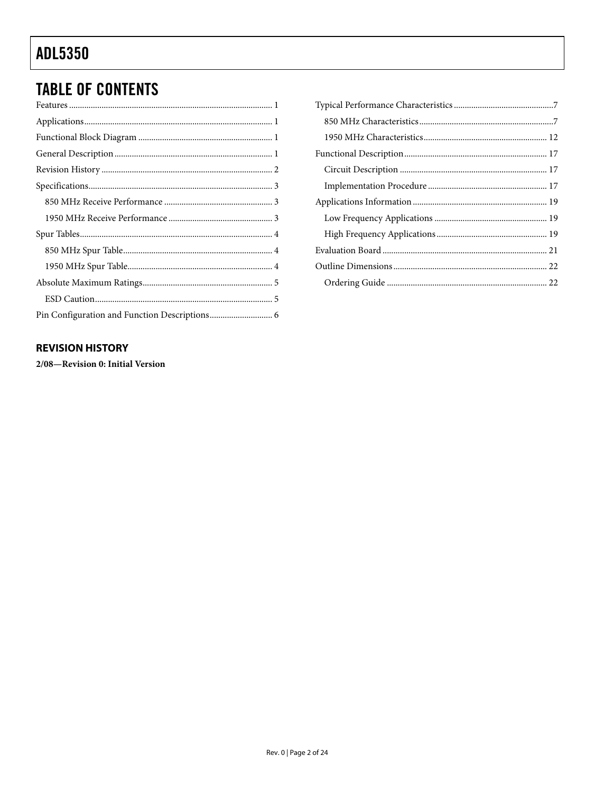## <span id="page-1-0"></span>**TABLE OF CONTENTS**

### **REVISION HISTORY**

2/08-Revision 0: Initial Version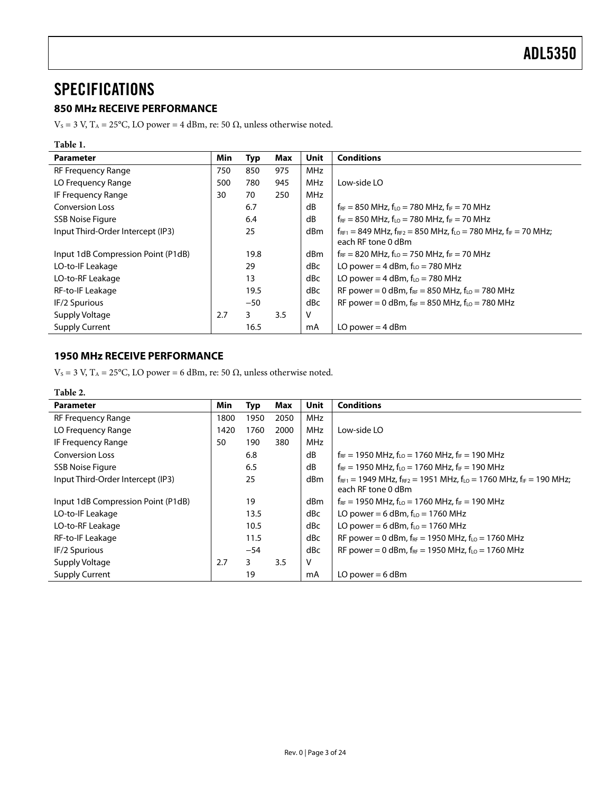### <span id="page-2-0"></span>**SPECIFICATIONS**

### **850 MHz RECEIVE PERFORMANCE**

V<sub>S</sub> = 3 V, T<sub>A</sub> = 25°C, LO power = 4 dBm, re: 50 Ω, unless otherwise noted.

| Table 1.                           |     |       |     |             |                                                                                                        |
|------------------------------------|-----|-------|-----|-------------|--------------------------------------------------------------------------------------------------------|
| <b>Parameter</b>                   | Min | Typ   | Max | <b>Unit</b> | <b>Conditions</b>                                                                                      |
| <b>RF Frequency Range</b>          | 750 | 850   | 975 | <b>MHz</b>  |                                                                                                        |
| LO Frequency Range                 | 500 | 780   | 945 | <b>MHz</b>  | Low-side LO                                                                                            |
| IF Frequency Range                 | 30  | 70    | 250 | <b>MHz</b>  |                                                                                                        |
| <b>Conversion Loss</b>             |     | 6.7   |     | dB          | $f_{RF}$ = 850 MHz, $f_{LO}$ = 780 MHz, $f_{IF}$ = 70 MHz                                              |
| <b>SSB Noise Figure</b>            |     | 6.4   |     | dB          | $f_{RF}$ = 850 MHz, $f_{LO}$ = 780 MHz, $f_{IF}$ = 70 MHz                                              |
| Input Third-Order Intercept (IP3)  |     | 25    |     | dBm         | $f_{RF1}$ = 849 MHz, $f_{RF2}$ = 850 MHz, $f_{LO}$ = 780 MHz, $f_{IF}$ = 70 MHz;<br>each RF tone 0 dBm |
| Input 1dB Compression Point (P1dB) |     | 19.8  |     | dBm         | $f_{RF}$ = 820 MHz, $f_{LO}$ = 750 MHz, $f_{IF}$ = 70 MHz                                              |
| LO-to-IF Leakage                   |     | 29    |     | dBc         | LO power = 4 dBm, $f_{LO}$ = 780 MHz                                                                   |
| LO-to-RF Leakage                   |     | 13    |     | dBc         | LO power = 4 dBm, $f_{LO}$ = 780 MHz                                                                   |
| RF-to-IF Leakage                   |     | 19.5  |     | dBc         | RF power = 0 dBm, $f_{RF}$ = 850 MHz, $f_{LO}$ = 780 MHz                                               |
| IF/2 Spurious                      |     | $-50$ |     | dBc         | RF power = 0 dBm, $f_{RF}$ = 850 MHz, $f_{LO}$ = 780 MHz                                               |
| Supply Voltage                     | 2.7 | 3     | 3.5 | v           |                                                                                                        |
| <b>Supply Current</b>              |     | 16.5  |     | mA          | LO power $=$ 4 dBm                                                                                     |

### **1950 MHz RECEIVE PERFORMANCE**

V<sub>S</sub> = 3 V, T<sub>A</sub> = 25°C, LO power = 6 dBm, re: 50  $\Omega$ , unless otherwise noted.

| Table 2.                           |      |       |      |             |                                                                                                            |
|------------------------------------|------|-------|------|-------------|------------------------------------------------------------------------------------------------------------|
| <b>Parameter</b>                   | Min  | Typ   | Max  | <b>Unit</b> | <b>Conditions</b>                                                                                          |
| <b>RF Frequency Range</b>          | 1800 | 1950  | 2050 | MHz         |                                                                                                            |
| LO Frequency Range                 | 1420 | 1760  | 2000 | MHz         | Low-side LO                                                                                                |
| IF Frequency Range                 | 50   | 190   | 380  | <b>MHz</b>  |                                                                                                            |
| <b>Conversion Loss</b>             |      | 6.8   |      | dB          | $f_{RF}$ = 1950 MHz, $f_{LO}$ = 1760 MHz, $f_{IF}$ = 190 MHz                                               |
| <b>SSB Noise Figure</b>            |      | 6.5   |      | dB          | $f_{RF}$ = 1950 MHz, $f_{LO}$ = 1760 MHz, $f_{IF}$ = 190 MHz                                               |
| Input Third-Order Intercept (IP3)  |      | 25    |      | dBm         | $f_{RF1}$ = 1949 MHz, $f_{RF2}$ = 1951 MHz, $f_{LO}$ = 1760 MHz, $f_{IF}$ = 190 MHz;<br>each RF tone 0 dBm |
| Input 1dB Compression Point (P1dB) |      | 19    |      | dBm         | $f_{RF}$ = 1950 MHz, $f_{LO}$ = 1760 MHz, $f_{IF}$ = 190 MHz                                               |
| LO-to-IF Leakage                   |      | 13.5  |      | dBc         | LO power = 6 dBm, $f_{10}$ = 1760 MHz                                                                      |
| LO-to-RF Leakage                   |      | 10.5  |      | dBc         | LO power = 6 dBm, $f_{LO}$ = 1760 MHz                                                                      |
| RF-to-IF Leakage                   |      | 11.5  |      | dBc         | RF power = 0 dBm, $f_{RF}$ = 1950 MHz, $f_{LO}$ = 1760 MHz                                                 |
| IF/2 Spurious                      |      | $-54$ |      | dBc         | RF power = 0 dBm, $f_{RF}$ = 1950 MHz, $f_{LO}$ = 1760 MHz                                                 |
| Supply Voltage                     | 2.7  | 3     | 3.5  | V           |                                                                                                            |
| <b>Supply Current</b>              |      | 19    |      | mA          | LO power $= 6$ dBm                                                                                         |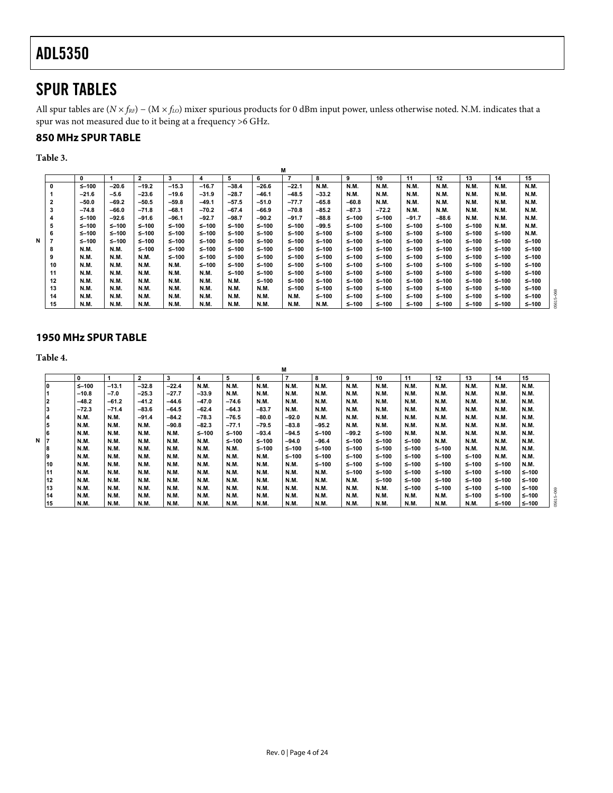### <span id="page-3-0"></span>SPUR TABLES

All spur tables are (*N* × *f<sub>RF</sub>*) − (*M* × *f<sub>LO</sub>*) mixer spurious products for 0 dBm input power, unless otherwise noted. N.M. indicates that a spur was not measured due to it being at a frequency >6 GHz.

### **850 MHz SPUR TABLE**

**Table 3.** 

|   |    |             |             |              |             |             |             |           | M              |             |           |             |             |             |             |             |             |  |
|---|----|-------------|-------------|--------------|-------------|-------------|-------------|-----------|----------------|-------------|-----------|-------------|-------------|-------------|-------------|-------------|-------------|--|
|   |    | 0           |             | $\mathbf{2}$ | 3           | 4           | 5           | 6         | $\overline{7}$ | 8           | 9         | 10          | 11          | 12          | 13          | 14          | 15          |  |
|   | 0  | $5 - 100$   | $-20.6$     | $-19.2$      | $-15.3$     | $-16.7$     | $-38.4$     | $-26.6$   | $-22.1$        | <b>N.M.</b> | N.M.      | N.M.        | <b>N.M.</b> | <b>N.M.</b> | N.M.        | <b>N.M.</b> | N.M.        |  |
|   |    | $-21.6$     | $-5.6$      | $-23.6$      | $-19.6$     | $-31.9$     | $-28.7$     | $-46.1$   | $-48.5$        | $-33.2$     | N.M.      | N.M.        | <b>N.M.</b> | N.M.        | N.M.        | <b>N.M.</b> | N.M.        |  |
|   | 2  | $-50.0$     | $-69.2$     | $-50.5$      | $-59.8$     | $-49.1$     | -57.5       | $-51.0$   | $-77.7$        | $-65.8$     | $-60.8$   | N.M.        | N.M.        | N.M.        | <b>N.M.</b> | N.M.        | N.M.        |  |
|   | 3  | $-74.8$     | $-66.0$     | $-71.8$      | $-68.1$     | $-70.2$     | $-67.4$     | $-66.9$   | $-70.8$        | $-85.2$     | $-87.3$   | $-72.2$     | <b>N.M.</b> | <b>N.M.</b> | <b>N.M.</b> | <b>N.M.</b> | N.M.        |  |
|   |    | $5 - 100$   | $-92.6$     | $-91.6$      | $-96.1$     | $-92.7$     | -98.7       | $-90.2$   | $-91.7$        | $-88.8$     | $5 - 100$ | $\leq -100$ | $-91.7$     | -88.6       | N.M.        | N.M.        | N.M.        |  |
|   | 5  | $5 - 100$   | $5 - 100$   | $5 - 100$    | ≤–100       | $5 - 100$   | ≤-100       | $5 - 100$ | $\leq -100$    | $-99.5$     | $5 - 100$ | $5 - 100$   | ≤–100       | ≤–100       | ≤–100       | N.M.        | N.M.        |  |
|   | 6  | $5 - 100$   | $5 - 100$   | $5 - 100$    | $\leq -100$ | $5 - 100$   | ≤–100       | $5 - 100$ | $\leq -100$    | $5 - 100$   | $5 - 100$ | $5 - 100$   | $5 - 100$   | ≤–100       | ≤–100       | $5 - 100$   | N.M.        |  |
| N |    | $5 - 100$   | $5 - 100$   | $5 - 100$    | $\leq -100$ | $5 - 100$   | ≤-100       | $5 - 100$ | $\leq -100$    | ≤-100       | $5 - 100$ | $5 - 100$   | ≤–100       | ≤–100       | ≤–100       | $5 - 100$   | $\leq -100$ |  |
|   | 8  | N.M.        | N.M.        | $5 - 100$    | $\leq -100$ | ≤–100       | ≤–100       | $5 - 100$ | $\leq -100$    | ≤-100       | $5 - 100$ | $5 - 100$   | ≤–100       | ≤–100       | ≤–100       | $5 - 100$   | $\leq -100$ |  |
|   | 9  | N.M.        | N.M.        | N.M.         | $\leq -100$ | ≤–100       | ≤–100       | $5 - 100$ | $\leq -100$    | $5 - 100$   | $5 - 100$ | $5 - 100$   | ≤–100       | ≤–100       | ≤–100       | $5 - 100$   | $\leq -100$ |  |
|   | 10 | N.M.        | <b>N.M.</b> | N.M.         | <b>N.M.</b> | $5 - 100$   | ≤-100       | ≤–100     | $\leq -100$    | $5 - 100$   | ≤-100     | $\leq -100$ | ≤–100       | ≤–100       | ≤–100       | $5 - 100$   | $\leq -100$ |  |
|   | 11 | N.M.        | <b>N.M.</b> | N.M.         | N.M.        | <b>N.M.</b> | ≤-100       | ≤–100     | ≤–100          | $5 - 100$   | ≤-100     | ≤–100       | ≤–100       | ≤–100       | ≤–100       | $5 - 100$   | $\leq -100$ |  |
|   | 12 | <b>N.M.</b> | <b>N.M.</b> | N.M.         | N.M.        | N.M.        | <b>N.M.</b> | ≤–100     | $\leq -100$    | $5 - 100$   | $5 - 100$ | ≤–100       | ≤–100       | ≤–100       | ≤–100       | $5 - 100$   | $\leq -100$ |  |
|   | 13 | N.M.        | <b>N.M.</b> | N.M.         | N.M.        | N.M.        | <b>N.M.</b> | N.M.      | $\leq -100$    | $5 - 100$   | $5 - 100$ | $5 - 100$   | $5 - 100$   | ≤–100       | ≤–100       | $5 - 100$   | $\leq -100$ |  |
|   | 14 | <b>N.M.</b> | <b>N.M.</b> | N.M.         | N.M.        | N.M.        | <b>N.M.</b> | N.M.      | <b>N.M.</b>    | $5 - 100$   | $5 - 100$ | ≤–100       | ≤–100       | ≤–100       | ≤–100       | $5 - 100$   | $\leq -100$ |  |
|   | 15 | <b>N.M.</b> | N.M.        | N.M.         | N.M.        | N.M.        | <b>N.M.</b> | N.M.      | <b>N.M.</b>    | N.M.        | ≤–100     | ≤–100       | ≤–100       | ≤–100       | ≤–100       | $5 - 100$   | $\leq -100$ |  |

#### **1950 MHz SPUR TABLE**

**Table 4.** 

|    |              |             |         |             |         |             |           | М              |             |             |             |             |             |             |             |             |
|----|--------------|-------------|---------|-------------|---------|-------------|-----------|----------------|-------------|-------------|-------------|-------------|-------------|-------------|-------------|-------------|
|    | $\mathbf{0}$ |             | 2       | 3           | 4       | 5           | 6         | $\overline{7}$ | 8           | 9           | 10          | 11          | 12          | 13          | 14          | 15          |
| 10 | $5 - 100$    | $-13.1$     | $-32.8$ | $-22.4$     | N.M.    | <b>N.M.</b> | N.M.      | <b>N.M.</b>    | N.M.        | N.M.        | <b>N.M.</b> | <b>N.M.</b> | <b>N.M.</b> | N.M.        | N.M.        | N.M.        |
|    | $-10.8$      | $-7.0$      | $-25.3$ | $-27.7$     | $-33.9$ | <b>N.M.</b> | N.M.      | <b>N.M.</b>    | N.M.        | N.M.        | <b>N.M.</b> | N.M.        | N.M.        | <b>N.M.</b> | <b>N.M.</b> | N.M.        |
|    | $-48.2$      | $-61.2$     | $-41.2$ | $-44.6$     | $-47.0$ | $-74.6$     | N.M.      | <b>N.M.</b>    | N.M.        | N.M.        | <b>N.M.</b> | N.M.        | N.M.        | N.M.        | <b>N.M.</b> | N.M.        |
|    | $-72.3$      | $-71.4$     | $-83.6$ | $-64.5$     | $-62.4$ | $-64.3$     | -83.7     | N.M.           | N.M.        | N.M.        | <b>N.M.</b> | N.M.        | N.M.        | N.M.        | <b>N.M.</b> | N.M.        |
| 4  | N.M.         | N.M.        | $-91.4$ | $-84.2$     | $-78.3$ | $-76.5$     | -80.0     | $-92.0$        | N.M.        | N.M.        | <b>N.M.</b> | <b>N.M.</b> | N.M.        | N.M.        | N.M.        | N.M.        |
| 5  | N.M.         | <b>N.M.</b> | N.M.    | $-90.8$     | $-82.3$ | $-77.1$     | -79.5     | $-83.8$        | $-95.2$     | N.M.        | <b>N.M.</b> | N.M.        | <b>N.M.</b> | N.M.        | N.M.        | N.M.        |
| 6  | <b>N.M.</b>  | <b>N.M.</b> | N.M.    | <b>N.M.</b> | ≤–100   | ≤–100       | $-93.4$   | $-94.5$        | $5 - 100$   | $-99.2$     | $5 - 100$   | N.M.        | <b>N.M.</b> | N.M.        | N.M.        | <b>N.M.</b> |
| N  | <b>N.M.</b>  | N.M.        | N.M.    | N.M.        | N.M.    | $≤$ -100    | ≤–100     | $-94.0$        | $-96.4$     | $5 - 100$   | ≤–100       | $5 - 100$   | N.M.        | N.M.        | <b>N.M.</b> | <b>N.M.</b> |
| 8  | <b>N.M.</b>  | N.M.        | N.M.    | N.M.        | N.M.    | N.M.        | $5 - 100$ | $5 - 100$      | $5 - 100$   | $5 - 100$   | $5 - 100$   | $\leq -100$ | $5 - 100$   | <b>N.M.</b> | <b>N.M.</b> | <b>N.M.</b> |
| 19 | <b>N.M.</b>  | N.M.        | N.M.    | <b>N.M.</b> | N.M.    | N.M.        | N.M.      | $5 - 100$      | $5 - 100$   | $5 - 100$   | $5 - 100$   | $\leq -100$ | $5 - 100$   | $5 - 100$   | <b>N.M.</b> | <b>N.M.</b> |
| 10 | <b>N.M.</b>  | N.M.        | N.M.    | <b>N.M.</b> | N.M.    | N.M.        | N.M.      | <b>N.M.</b>    | $5 - 100$   | $5 - 100$   | $5 - 100$   | $\leq -100$ | $\leq -100$ | $5 - 100$   | $5 - 100$   | N.M.        |
| 11 | <b>N.M.</b>  | N.M.        | N.M.    | <b>N.M.</b> | N.M.    | N.M.        | N.M.      | <b>N.M.</b>    | <b>N.M.</b> | $5 - 100$   | $5 - 100$   | $\leq -100$ | $\leq -100$ | $5 - 100$   | $5 - 100$   | $5 - 100$   |
| 12 | <b>N.M.</b>  | <b>N.M.</b> | N.M.    | <b>N.M.</b> | N.M.    | N.M.        | N.M.      | <b>N.M.</b>    | <b>N.M.</b> | <b>N.M.</b> | $5 - 100$   | $\leq -100$ | $5 - 100$   | $5 - 100$   | $5 - 100$   | ≤–100       |
| 13 | <b>N.M.</b>  | <b>N.M.</b> | N.M.    | N.M.        | N.M.    | N.M.        | N.M.      | <b>N.M.</b>    | <b>N.M.</b> | <b>N.M.</b> | <b>N.M.</b> | $\leq -100$ | $5 - 100$   | $5 - 100$   | $5 - 100$   | $\leq -100$ |
| 14 | <b>N.M.</b>  | <b>N.M.</b> | N.M.    | <b>N.M.</b> | N.M.    | N.M.        | N.M.      | <b>N.M.</b>    | <b>N.M.</b> | N.M.        | N.M.        | N.M.        | N.M.        | ≤–100       | $5 - 100$   | ≤–100       |
| 15 | <b>N.M.</b>  | <b>N.M.</b> | N.M.    | <b>N.M.</b> | N.M.    | <b>N.M.</b> | N.M.      | <b>N.M.</b>    | <b>N.M.</b> | N.M.        | <b>N.M.</b> | N.M.        | <b>N.M.</b> | N.M.        | $\leq -100$ | $\leq -100$ |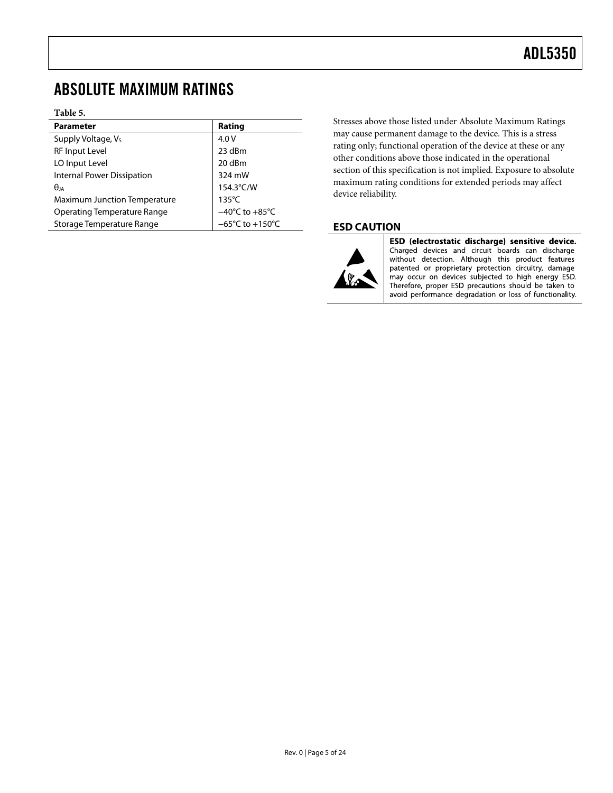### <span id="page-4-0"></span>ABSOLUTE MAXIMUM RATINGS

#### **Table 5.**

| <b>Parameter</b>                    | Rating                               |
|-------------------------------------|--------------------------------------|
| Supply Voltage, Vs                  | 4.0V                                 |
| <b>RF Input Level</b>               | 23 dBm                               |
| LO Input Level                      | 20 dBm                               |
| <b>Internal Power Dissipation</b>   | 324 mW                               |
| $\theta$ ja                         | 154.3°C/W                            |
| <b>Maximum Junction Temperature</b> | $135^{\circ}$ C                      |
| <b>Operating Temperature Range</b>  | $-40^{\circ}$ C to $+85^{\circ}$ C   |
| Storage Temperature Range           | $-65^{\circ}$ C to +150 $^{\circ}$ C |

Stresses above those listed under Absolute Maximum Ratings may cause permanent damage to the device. This is a stress rating only; functional operation of the device at these or any other conditions above those indicated in the operational section of this specification is not implied. Exposure to absolute maximum rating conditions for extended periods may affect device reliability.

### **ESD CAUTION**



ESD (electrostatic discharge) sensitive device. Charged devices and circuit boards can discharge without detection. Although this product features patented or proprietary protection circuitry, damage may occur on devices subjected to high energy ESD. Therefore, proper ESD precautions should be taken to avoid performance degradation or loss of functionality.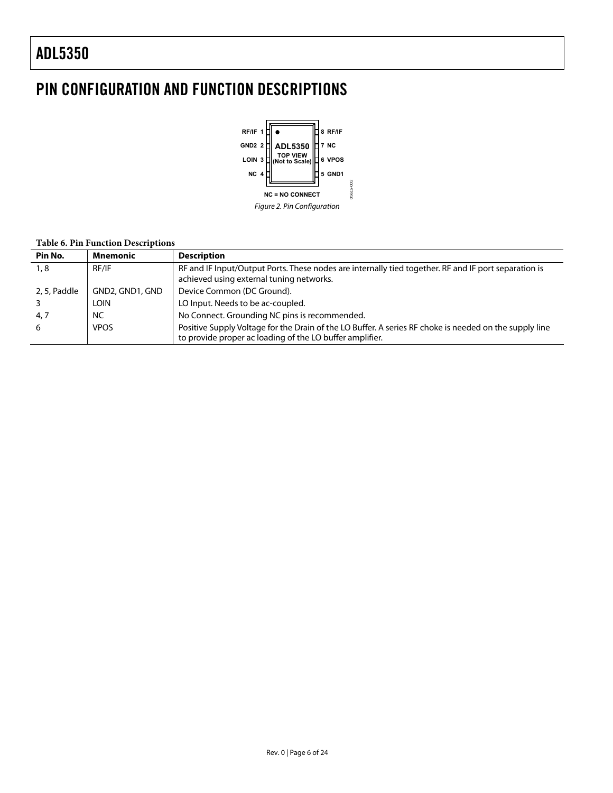## <span id="page-5-0"></span>PIN CONFIGURATION AND FUNCTION DESCRIPTIONS



#### **Table 6. Pin Function Descriptions**

| Pin No.      | Mnemonic        | <b>Description</b>                                                                                                                                                 |
|--------------|-----------------|--------------------------------------------------------------------------------------------------------------------------------------------------------------------|
| 1,8          | RF/IF           | RF and IF Input/Output Ports. These nodes are internally tied together. RF and IF port separation is<br>achieved using external tuning networks.                   |
| 2, 5, Paddle | GND2, GND1, GND | Device Common (DC Ground).                                                                                                                                         |
|              | Loin            | LO Input. Needs to be ac-coupled.                                                                                                                                  |
| 4, 7         | NC              | No Connect. Grounding NC pins is recommended.                                                                                                                      |
| 6            | <b>VPOS</b>     | Positive Supply Voltage for the Drain of the LO Buffer. A series RF choke is needed on the supply line<br>to provide proper ac loading of the LO buffer amplifier. |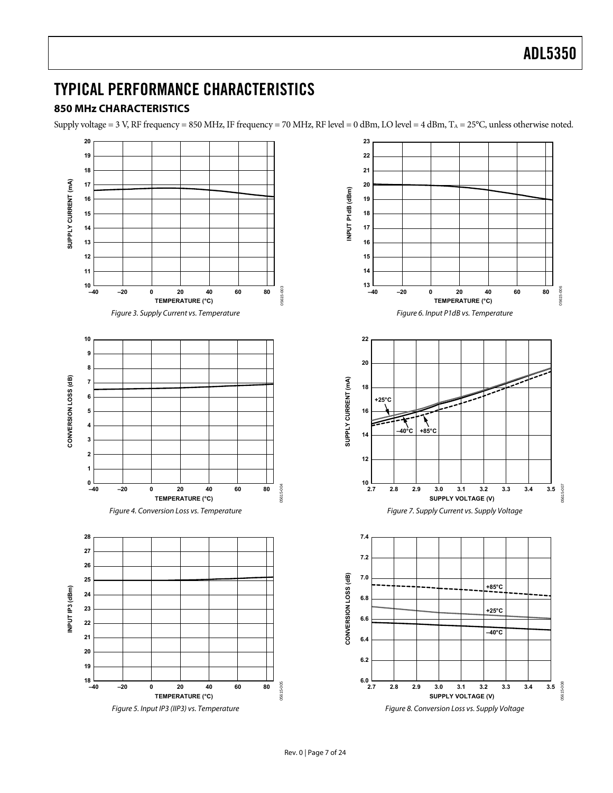### <span id="page-6-0"></span>TYPICAL PERFORMANCE CHARACTERISTICS

### **850 MHz CHARACTERISTICS**

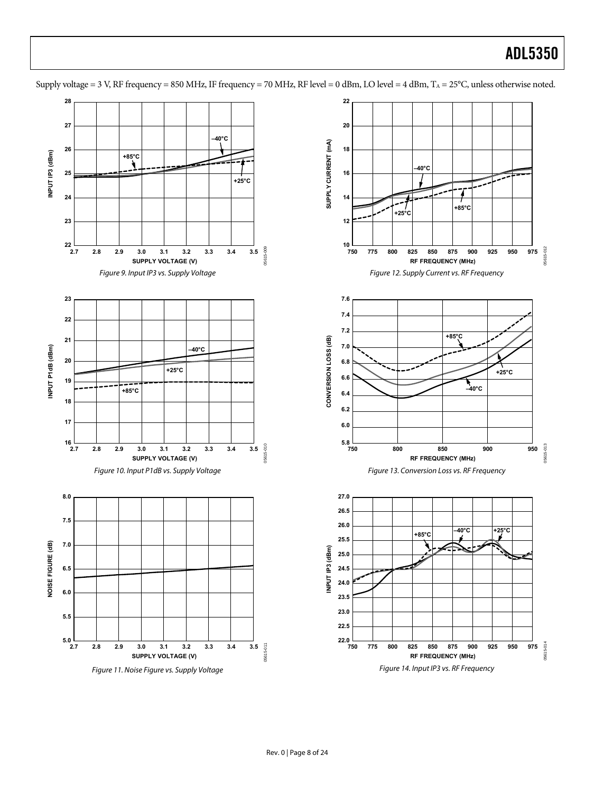

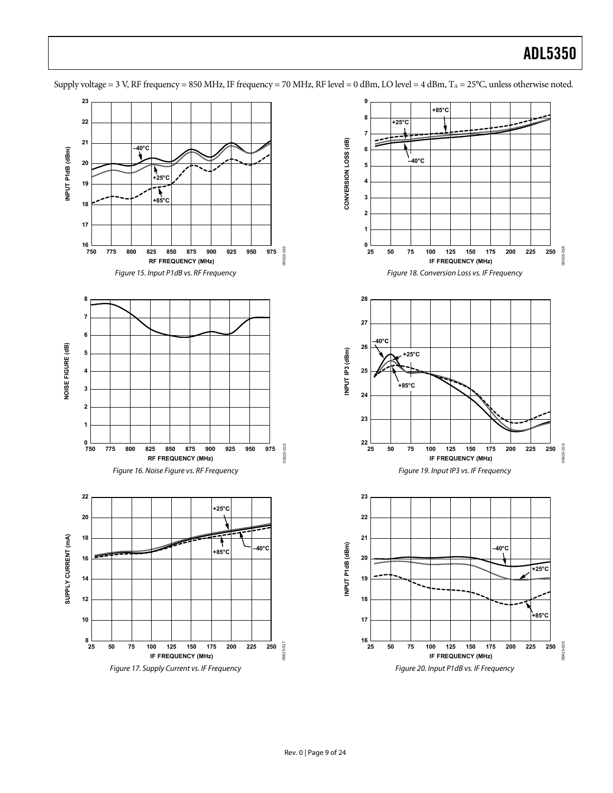**23 9 +85°C 8 22 +25°C 7**  $\equiv$ **21** CONVERSION LOSS (dB) **CONVERSION LOSS (dB) –40°C** INPUT P1dB (dBm) **6 INPUT P1dB (dBm) –40°C 20 5 +25°C 19 4** Ŕ **3 +85°C 18 2 17 1** 16<br>750  $\frac{0}{25}$ 05615-018 05615-015 05615-015 05615-018 **750 925900875850825800775 950 975 25 50 75 100 125 150 175 200 225 250 RF FREQUENCY (MHz) IF FREQUENCY (MHz)** Figure 15. Input P1dB vs. RF Frequency Figure 18. Conversion Loss vs. IF Frequency **8 28 7 27 6 –40°C 26** NOISE FIGURE (dB) **NOISE FIGURE (dB)** (MBb) S41 TU4M **INPUT IP3 (dBm) 5 +25°C 25 4 +85°C 3 24 2 23 1**  $^{22}$   $^{1}_{25}$  $\frac{1}{750}$ 05615-019 3615-016 05615-016 05615-019 **750 775 800 825 850 875 900 925 950 975 25 50 75 100 125 150 175 200 225 250 RF FREQUENCY (MHz) IF FREQUENCY (MHz)** Figure 16. Noise Figure vs. RF Frequency Figure 19. Input IP3 vs. IF Frequency **22 23 +25°C 20 22 21 18** SUPPLY CURRENT (mA) **SUPPLY CURRENT (mA)** INPUT P1dB (dBm) **INPUT P1dB (dBm) –40°C –40°C +85°C 16 20 +25°C 14 19 12 18 +85°C 10 17**  $^{8}$  $^{25}$ ــا 16<br>25 05615-017 05615-020 05615-017 05615-020 **25 50 75 100 125 150 175 200 225 250 25 50 75 100 125 150 175 200 225 250 IF FREQUENCY (MHz) IF FREQUENCY (MHz)** Figure 17. Supply Current vs. IF Frequency Figure 20. Input P1dB vs. IF Frequency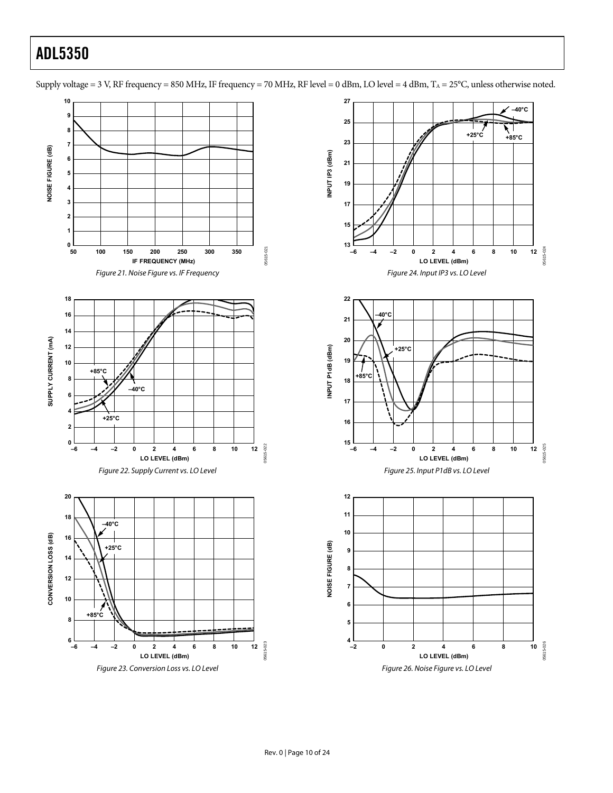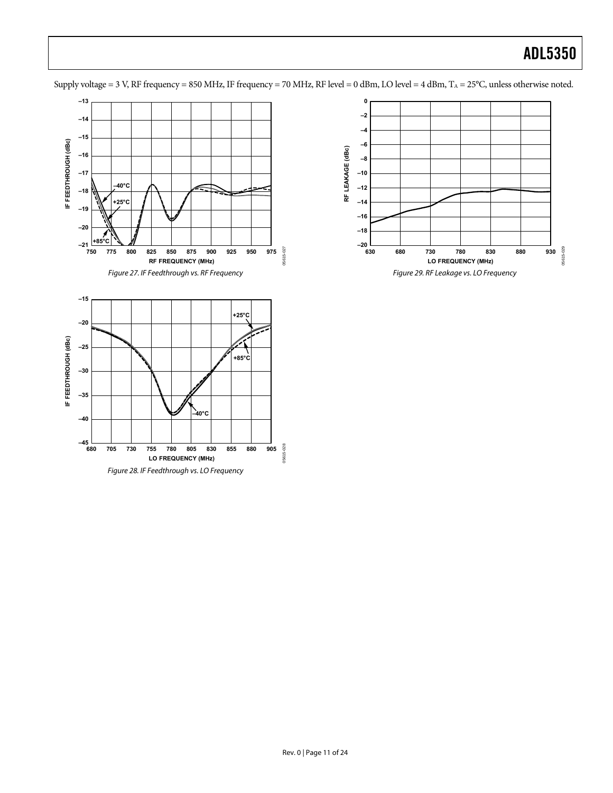



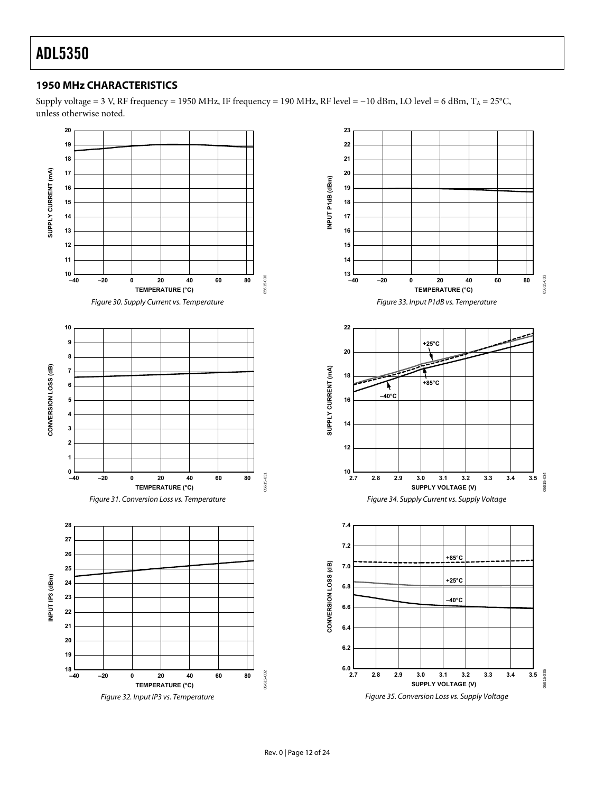### <span id="page-11-0"></span>**1950 MHz CHARACTERISTICS**

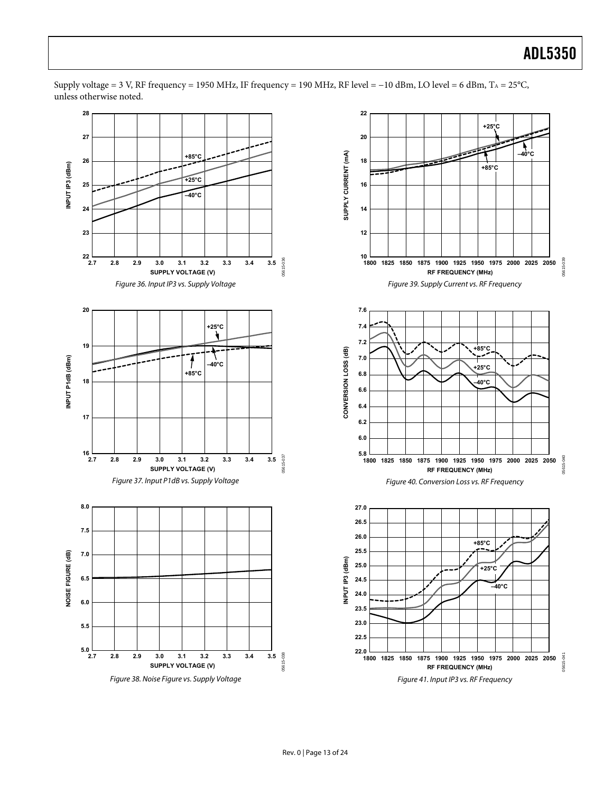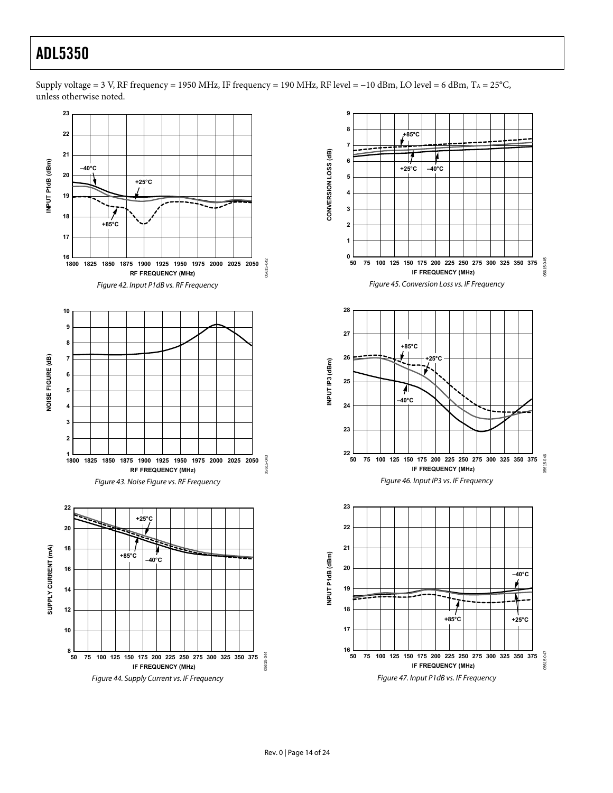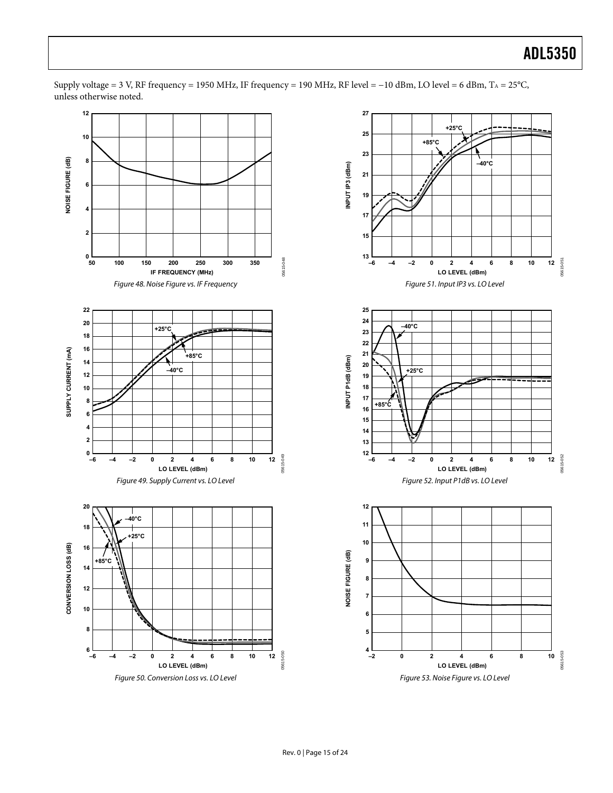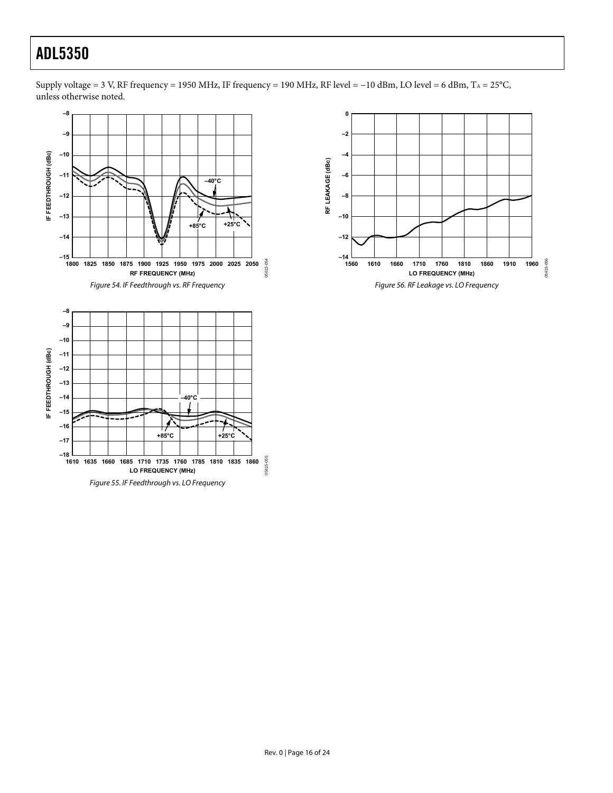

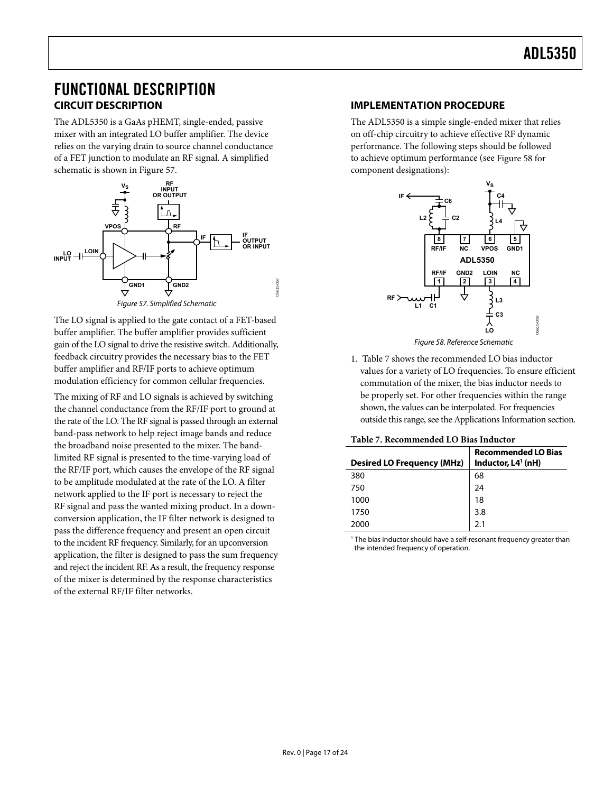### <span id="page-16-0"></span>FUNCTIONAL DESCRIPTION **CIRCUIT DESCRIPTION**

The ADL5350 is a GaAs pHEMT, single-ended, passive mixer with an integrated LO buffer amplifier. The device relies on the varying drain to source channel conductance of a FET junction to modulate an RF signal. A simplified schematic is shown in [Figure 57](#page-16-1).



Figure 57. Simplified Schematic

05615-057

<span id="page-16-2"></span><span id="page-16-1"></span>The LO signal is applied to the gate contact of a FET-based buffer amplifier. The buffer amplifier provides sufficient gain of the LO signal to drive the resistive switch. Additionally, feedback circuitry provides the necessary bias to the FET buffer amplifier and RF/IF ports to achieve optimum modulation efficiency for common cellular frequencies.

<span id="page-16-3"></span>The mixing of RF and LO signals is achieved by switching the channel conductance from the RF/IF port to ground at the rate of the LO. The RF signal is passed through an external band-pass network to help reject image bands and reduce the broadband noise presented to the mixer. The bandlimited RF signal is presented to the time-varying load of the RF/IF port, which causes the envelope of the RF signal to be amplitude modulated at the rate of the LO. A filter network applied to the IF port is necessary to reject the RF signal and pass the wanted mixing product. In a downconversion application, the IF filter network is designed to pass the difference frequency and present an open circuit to the incident RF frequency. Similarly, for an upconversion application, the filter is designed to pass the sum frequency and reject the incident RF. As a result, the frequency response of the mixer is determined by the response characteristics of the external RF/IF filter networks.

### **IMPLEMENTATION PROCEDURE**

The ADL5350 is a simple single-ended mixer that relies on off-chip circuitry to achieve effective RF dynamic performance. The following steps should be followed to achieve optimum performance (see [Figure 58](#page-16-2) for component designations):



Figure 58. Reference Schematic

1. [Table 7](#page-16-3) shows the recommended LO bias inductor values for a variety of LO frequencies. To ensure efficient commutation of the mixer, the bias inductor needs to be properly set. For other frequencies within the range shown, the values can be interpolated. For frequencies outside this range, see the [Applications Information](#page-18-0) section.

|  | <b>Table 7. Recommended LO Bias Inductor</b> |  |  |  |
|--|----------------------------------------------|--|--|--|
|--|----------------------------------------------|--|--|--|

| <b>Desired LO Frequency (MHz)</b> | <b>Recommended LO Bias</b><br>Inductor, $L4^1$ (nH) |
|-----------------------------------|-----------------------------------------------------|
| 380                               | 68                                                  |
| 750                               | 24                                                  |
| 1000                              | 18                                                  |
| 1750                              | 3.8                                                 |
| 2000                              | 2.1                                                 |

<sup>1</sup> The bias inductor should have a self-resonant frequency greater than the intended frequency of operation.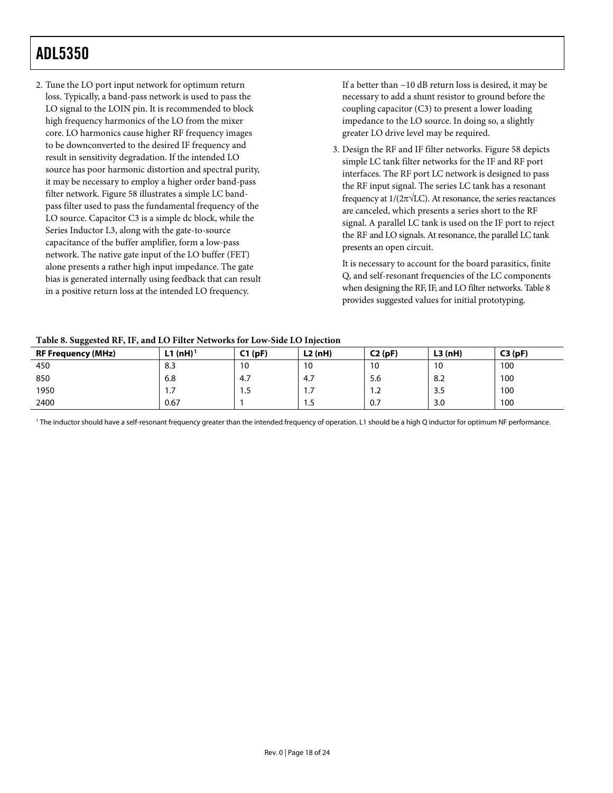<span id="page-17-1"></span>2. Tune the LO port input network for optimum return loss. Typically, a band-pass network is used to pass the LO signal to the LOIN pin. It is recommended to block high frequency harmonics of the LO from the mixer core. LO harmonics cause higher RF frequency images to be downconverted to the desired IF frequency and result in sensitivity degradation. If the intended LO source has poor harmonic distortion and spectral purity, it may be necessary to employ a higher order band-pass filter network. [Figure 58](#page-16-2) illustrates a simple LC bandpass filter used to pass the fundamental frequency of the LO source. Capacitor C3 is a simple dc block, while the Series Inductor L3, along with the gate-to-source capacitance of the buffer amplifier, form a low-pass network. The native gate input of the LO buffer (FET) alone presents a rather high input impedance. The gate bias is generated internally using feedback that can result in a positive return loss at the intended LO frequency.

If a better than −10 dB return loss is desired, it may be necessary to add a shunt resistor to ground before the coupling capacitor (C3) to present a lower loading impedance to the LO source. In doing so, a slightly greater LO drive level may be required.

3. Design the RF and IF filter networks. [Figure 58](#page-16-2) depicts simple LC tank filter networks for the IF and RF port interfaces. The RF port LC network is designed to pass the RF input signal. The series LC tank has a resonant frequency at  $1/(2\pi\sqrt{LC})$ . At resonance, the series reactances are canceled, which presents a series short to the RF signal. A parallel LC tank is used on the IF port to reject the RF and LO signals. At resonance, the parallel LC tank presents an open circuit.

It is necessary to account for the board parasitics, finite Q, and self-resonant frequencies of the LC components when designing the RF, IF, and LO filter networks. [Table 8](#page-17-0) provides suggested values for initial prototyping.

#### **Table 8. Suggested RF, IF, and LO Filter Networks for Low-Side LO Injection**

<span id="page-17-0"></span>

| ັບ<br><b>RF Frequency (MHz)</b> | $L1$ (nH) <sup>1</sup> | C1(pF) | L2(nH) | C2(pF) | L3(nH) | C3(pF) |
|---------------------------------|------------------------|--------|--------|--------|--------|--------|
| 450                             | 8.3                    | 10     | 10     | 10     | 10     | 100    |
| 850                             | 6.8                    | 4.7    | 4,7    | 5.6    | 8.2    | 100    |
| 1950                            |                        | 1.5    | .      | 1.2    | 3.5    | 100    |
| 2400                            | 0.67                   |        | ر. ا   | 0.7    | 3.0    | 100    |

1 The inductor should have a self-resonant frequency greater than the intended frequency of operation. L1 should be a high Q inductor for optimum NF performance.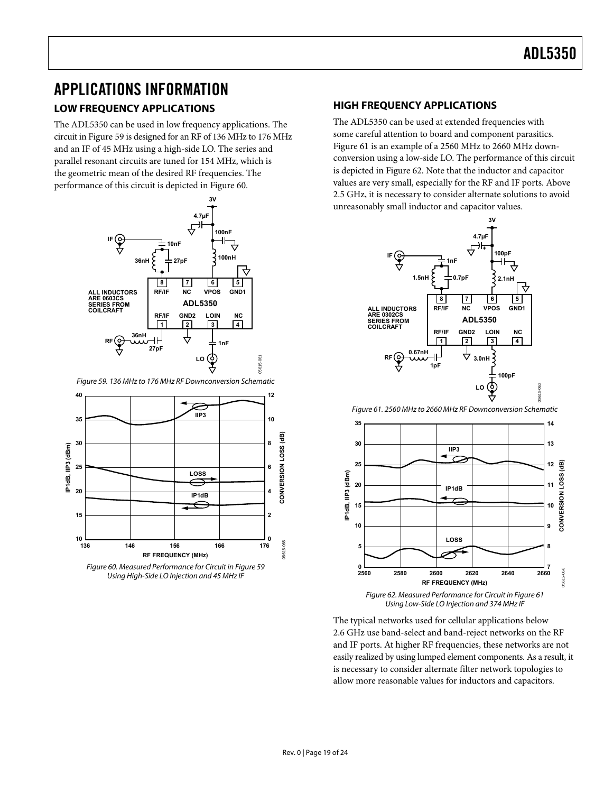### <span id="page-18-1"></span><span id="page-18-0"></span>APPLICATIONS INFORMATION

### **LOW FREQUENCY APPLICATIONS**

The ADL5350 can be used in low frequency applications. The circuit in [Figure 59](#page-18-2) is designed for an RF of 136 MHz to 176 MHz and an IF of 45 MHz using a high-side LO. The series and parallel resonant circuits are tuned for 154 MHz, which is the geometric mean of the desired RF frequencies. The performance of this circuit is depicted in [Figure 60](#page-18-3).



Figure 59. 136 MHz to 176 MHz RF Downconversion Schematic

<span id="page-18-4"></span><span id="page-18-2"></span>

<span id="page-18-5"></span><span id="page-18-3"></span>Figure 60. Measured Performance for Circuit in [Figure 59](#page-18-2) Using High-Side LO Injection and 45 MHz IF

### **HIGH FREQUENCY APPLICATIONS**

The ADL5350 can be used at extended frequencies with some careful attention to board and component parasitics. [Figure 61](#page-18-4) is an example of a 2560 MHz to 2660 MHz downconversion using a low-side LO. The performance of this circuit is depicted in [Figure 62](#page-18-5). Note that the inductor and capacitor values are very small, especially for the RF and IF ports. Above 2.5 GHz, it is necessary to consider alternate solutions to avoid unreasonably small inductor and capacitor values.



Figure 61. 2560 MHz to 2660 MHz RF Downconversion Schematic



The typical networks used for cellular applications below 2.6 GHz use band-select and band-reject networks on the RF and IF ports. At higher RF frequencies, these networks are not easily realized by using lumped element components. As a result, it is necessary to consider alternate filter network topologies to allow more reasonable values for inductors and capacitors.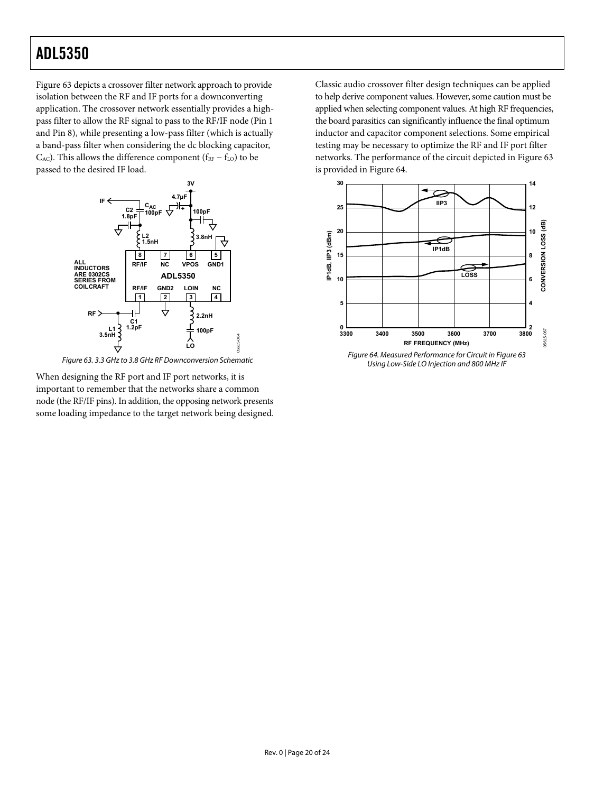[Figure 63](#page-19-0) depicts a crossover filter network approach to provide isolation between the RF and IF ports for a downconverting application. The crossover network essentially provides a highpass filter to allow the RF signal to pass to the RF/IF node (Pin 1 and Pin 8), while presenting a low-pass filter (which is actually a band-pass filter when considering the dc blocking capacitor, C<sub>AC</sub>). This allows the difference component ( $f_{RF} - f_{LO}$ ) to be passed to the desired IF load.



Figure 63. 3.3 GHz to 3.8 GHz RF Downconversion Schematic

<span id="page-19-1"></span><span id="page-19-0"></span>When designing the RF port and IF port networks, it is important to remember that the networks share a common node (the RF/IF pins). In addition, the opposing network presents some loading impedance to the target network being designed. Classic audio crossover filter design techniques can be applied to help derive component values. However, some caution must be applied when selecting component values. At high RF frequencies, the board parasitics can significantly influence the final optimum inductor and capacitor component selections. Some empirical testing may be necessary to optimize the RF and IF port filter networks. The performance of the circuit depicted in [Figure 63](#page-19-0) is provided in [Figure 64.](#page-19-1)



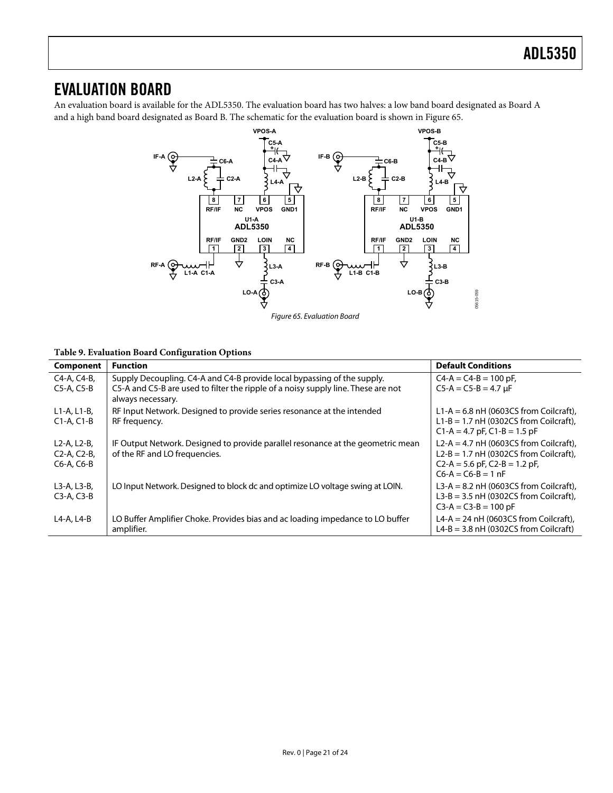### <span id="page-20-0"></span>EVALUATION BOARD

An evaluation board is available for the ADL5350. The evaluation board has two halves: a low band board designated as Board A and a high band board designated as Board B. The schematic for the evaluation board is shown in [Figure 65](#page-20-1).



#### <span id="page-20-1"></span>**Table 9. Evaluation Board Configuration Options**

| Component                                                                                    | <b>Function</b>                                                                                                                                                                   | <b>Default Conditions</b>                                                                                                                           |
|----------------------------------------------------------------------------------------------|-----------------------------------------------------------------------------------------------------------------------------------------------------------------------------------|-----------------------------------------------------------------------------------------------------------------------------------------------------|
| C4-A, C4-B,<br>$C5-A$ , $C5-B$                                                               | Supply Decoupling. C4-A and C4-B provide local bypassing of the supply.<br>C5-A and C5-B are used to filter the ripple of a noisy supply line. These are not<br>always necessary. | $CA-A = CA-B = 100 pF$ ,<br>$C5-A = C5-B = 4.7 \mu F$                                                                                               |
| $L1-A, L1-B,$<br>$C1-A, C1-B$                                                                | RF Input Network. Designed to provide series resonance at the intended<br>RF frequency.                                                                                           | L1-A = $6.8$ nH (0603CS from Coilcraft),<br>L1-B = 1.7 $nH$ (0302CS from Coilcraft),<br>$C1-A = 4.7$ pF, $C1-B = 1.5$ pF                            |
| L <sub>2</sub> -A, L <sub>2</sub> -B,<br>C <sub>2</sub> -A, C <sub>2</sub> -B,<br>C6-A, C6-B | IF Output Network. Designed to provide parallel resonance at the geometric mean<br>of the RF and LO frequencies.                                                                  | L2-A = 4.7 nH (0603CS from Coilcraft),<br>$L2-B = 1.7$ nH (0302CS from Coilcraft).<br>$C2-A = 5.6$ pF, $C2-B = 1.2$ pF,<br>$C6 - A = C6 - B = 1 nF$ |
| L3-A, L3-B,<br>$C3-A, C3-B$                                                                  | LO Input Network. Designed to block dc and optimize LO voltage swing at LOIN.                                                                                                     | L3-A = 8.2 nH (0603CS from Coilcraft),<br>$L3-B = 3.5$ nH (0302CS from Coilcraft),<br>$C3-A = C3-B = 100 pF$                                        |
| L4-A, L4-B                                                                                   | LO Buffer Amplifier Choke. Provides bias and ac loading impedance to LO buffer<br>amplifier.                                                                                      | L4-A = 24 nH (0603CS from Coilcraft),<br>$L4-B = 3.8$ nH (0302CS from Coilcraft)                                                                    |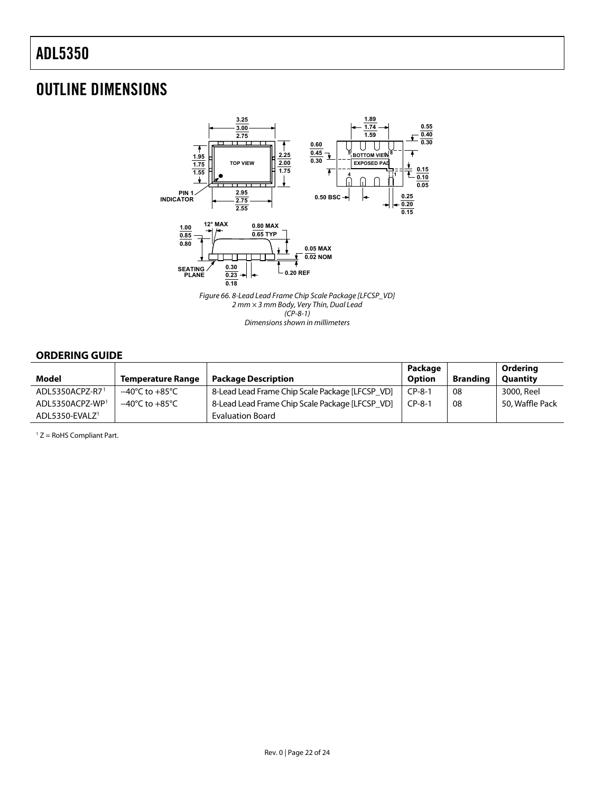## <span id="page-21-0"></span>OUTLINE DIMENSIONS



(CP-8-1)

Dimensions shown in millimeters

### **ORDERING GUIDE**

<span id="page-21-1"></span>

| Model                       | <b>Temperature Range</b>           | <b>Package Description</b>                      | Package<br>Option | <b>Branding</b> | Ordering<br><b>Quantity</b> |
|-----------------------------|------------------------------------|-------------------------------------------------|-------------------|-----------------|-----------------------------|
| ADL5350ACPZ-R71             | $-40^{\circ}$ C to $+85^{\circ}$ C | 8-Lead Lead Frame Chip Scale Package [LFCSP VD] | $CP-8-1$          | 08              | 3000, Reel                  |
| ADL5350ACPZ-WP <sup>1</sup> | $-40^{\circ}$ C to $+85^{\circ}$ C | 8-Lead Lead Frame Chip Scale Package [LFCSP VD] | $CP-8-1$          | 08              | 50. Waffle Pack             |
| ADL5350-EVALZ <sup>1</sup>  |                                    | <b>Evaluation Board</b>                         |                   |                 |                             |

1 Z = RoHS Compliant Part.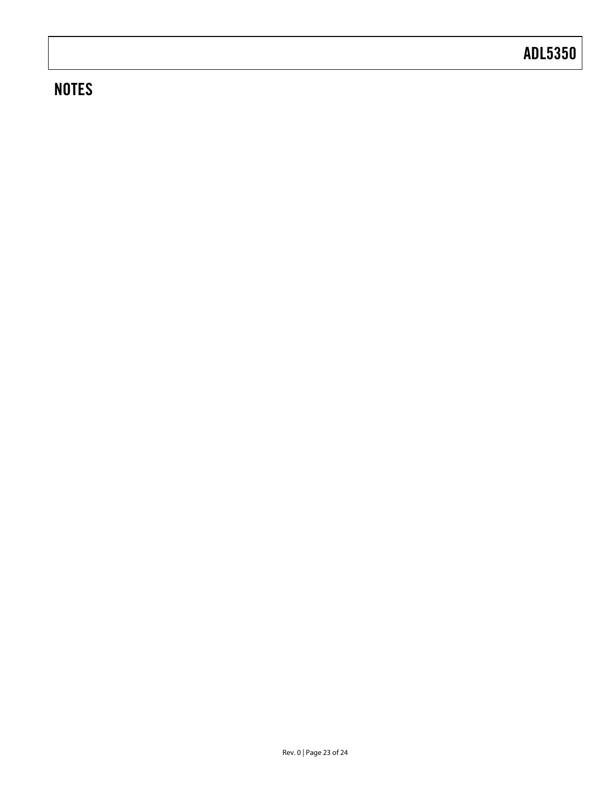## **NOTES**